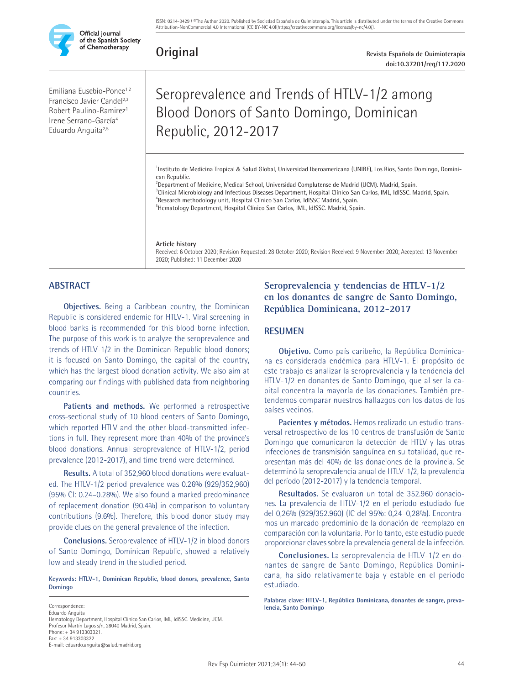

**Original**

**Revista Española de Quimioterapia doi:10.37201/req/117.2020**

Emiliana Eusebio-Ponce1,2 Francisco Javier Candel<sup>2,3</sup> Robert Paulino-Ramirez1 Irene Serrano-García4 Eduardo Anguita<sup>2,5</sup>

# Seroprevalence and Trends of HTLV-1/2 among Blood Donors of Santo Domingo, Dominican Republic, 2012-2017

1 Instituto de Medicina Tropical & Salud Global, Universidad Iberoamericana (UNIBE), Los Rios, Santo Domingo, Dominican Republic.

2 Department of Medicine, Medical School, Universidad Complutense de Madrid (UCM). Madrid, Spain. 3 Clinical Microbiology and Infectious Diseases Department, Hospital Clínico San Carlos, IML, IdISSC. Madrid, Spain.

4 Research methodology unit, Hospital Clínico San Carlos, IdISSC Madrid, Spain. <sup>5</sup>Hematology Department, Hospital Clínico San Carlos, IML, IdISSC. Madrid, Spain.

**Article history**

Received: 6 October 2020; Revision Requested: 28 October 2020; Revision Received: 9 November 2020; Accepted: 13 November 2020; Published: 11 December 2020

# **ABSTRACT**

**Objectives.** Being a Caribbean country, the Dominican Republic is considered endemic for HTLV-1. Viral screening in blood banks is recommended for this blood borne infection. The purpose of this work is to analyze the seroprevalence and trends of HTLV-1/2 in the Dominican Republic blood donors; it is focused on Santo Domingo, the capital of the country, which has the largest blood donation activity. We also aim at comparing our findings with published data from neighboring countries.

**Patients and methods.** We performed a retrospective cross-sectional study of 10 blood centers of Santo Domingo, which reported HTLV and the other blood-transmitted infections in full. They represent more than 40% of the province's blood donations. Annual seroprevalence of HTLV-1/2, period prevalence (2012-2017), and time trend were determined.

**Results.** A total of 352,960 blood donations were evaluated. The HTLV-1/2 period prevalence was 0.26% (929/352,960) (95% CI: 0.24–0.28%). We also found a marked predominance of replacement donation (90.4%) in comparison to voluntary contributions (9.6%). Therefore, this blood donor study may provide clues on the general prevalence of the infection.

**Conclusions.** Seroprevalence of HTLV-1/2 in blood donors of Santo Domingo, Dominican Republic, showed a relatively low and steady trend in the studied period.

**Keywords: HTLV-1, Dominican Republic, blood donors, prevalence, Santo Domingo**

Correspondence: Eduardo Anguita Hematology Department, Hospital Clínico San Carlos, IML, IdISSC. Medicine, UCM. Profesor Martín Lagos s/n, 28040 Madrid, Spain. Phone: + 34 913303321. Fax: + 34 913303322 E-mail: eduardo.anguita@salud.madrid.org

# **Seroprevalencia y tendencias de HTLV-1/2 en los donantes de sangre de Santo Domingo, República Dominicana, 2012-2017**

# **RESUMEN**

**Objetivo.** Como país caribeño, la República Dominicana es considerada endémica para HTLV-1. El propósito de este trabajo es analizar la seroprevalencia y la tendencia del HTLV-1/2 en donantes de Santo Domingo, que al ser la capital concentra la mayoría de las donaciones. También pretendemos comparar nuestros hallazgos con los datos de los países vecinos.

**Pacientes y métodos.** Hemos realizado un estudio transversal retrospectivo de los 10 centros de transfusión de Santo Domingo que comunicaron la detección de HTLV y las otras infecciones de transmisión sanguínea en su totalidad, que representan más del 40% de las donaciones de la provincia. Se determinó la seroprevalencia anual de HTLV-1/2, la prevalencia del período (2012-2017) y la tendencia temporal.

**Resultados.** Se evaluaron un total de 352.960 donaciones. La prevalencia de HTLV-1/2 en el período estudiado fue del 0,26% (929/352.960) (IC del 95%: 0,24–0,28%). Encontramos un marcado predominio de la donación de reemplazo en comparación con la voluntaria. Por lo tanto, este estudio puede proporcionar claves sobre la prevalencia general de la infección.

**Conclusiones.** La seroprevalencia de HTLV-1/2 en donantes de sangre de Santo Domingo, República Dominicana, ha sido relativamente baja y estable en el periodo estudiado.

**Palabras clave: HTLV-1, República Dominicana, donantes de sangre, prevalencia, Santo Domingo**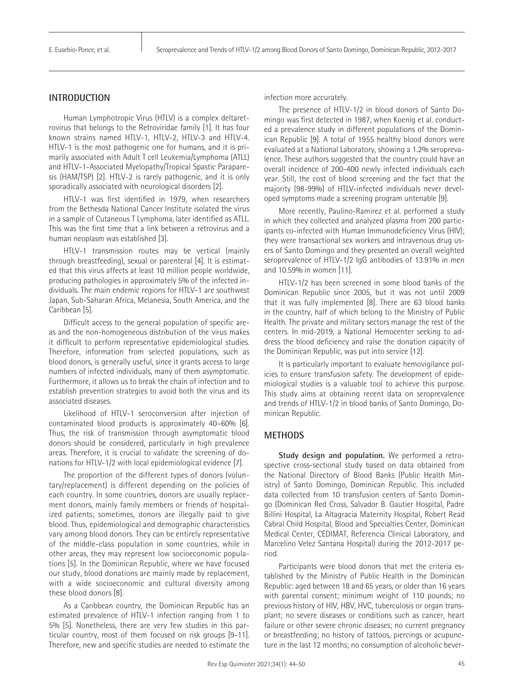## **INTRODUCTION**

Human Lymphotropic Virus (HTLV) is a complex deltaretrovirus that belongs to the Retroviridae family [1]. It has four known strains named HTLV-1, HTLV-2, HTLV-3 and HTLV-4. HTLV-1 is the most pathogenic one for humans, and it is primarily associated with Adult T cell Leukemia/Lymphoma (ATLL) and HTLV-1-Associated Myelopathy/Tropical Spastic Paraparesis (HAM/TSP) [2]. HTLV-2 is rarely pathogenic, and it is only sporadically associated with neurological disorders [2].

HTLV-1 was first identified in 1979, when researchers from the Bethesda National Cancer Institute isolated the virus in a sample of Cutaneous T Lymphoma, later identified as ATLL. This was the first time that a link between a retrovirus and a human neoplasm was established [3].

HTLV-1 transmission routes may be vertical (mainly through breastfeeding), sexual or parenteral [4]. It is estimated that this virus affects at least 10 million people worldwide, producing pathologies in approximately 5% of the infected individuals. The main endemic regions for HTLV-1 are southwest Japan, Sub-Saharan Africa, Melanesia, South America, and the Caribbean [5].

Difficult access to the general population of specific areas and the non-homogeneous distribution of the virus makes it difficult to perform representative epidemiological studies. Therefore, information from selected populations, such as blood donors, is generally useful, since it grants access to large numbers of infected individuals, many of them asymptomatic. Furthermore, it allows us to break the chain of infection and to establish prevention strategies to avoid both the virus and its associated diseases.

Likelihood of HTLV-1 seroconversion after injection of contaminated blood products is approximately 40–60% [6]. Thus, the risk of transmission through asymptomatic blood donors should be considered, particularly in high prevalence areas. Therefore, it is crucial to validate the screening of donations for HTLV-1/2 with local epidemiological evidence [7].

The proportion of the different types of donors (voluntary/replacement) is different depending on the policies of each country. In some countries, donors are usually replacement donors, mainly family members or friends of hospitalized patients; sometimes, donors are illegally paid to give blood. Thus, epidemiological and demographic characteristics vary among blood donors. They can be entirely representative of the middle-class population in some countries, while in other areas, they may represent low socioeconomic populations [5]. In the Dominican Republic, where we have focused our study, blood donations are mainly made by replacement, with a wide socioeconomic and cultural diversity among these blood donors [8].

As a Caribbean country, the Dominican Republic has an estimated prevalence of HTLV-1 infection ranging from 1 to 5% [5]. Nonetheless, there are very few studies in this particular country, most of them focused on risk groups [9-11]. Therefore, new and specific studies are needed to estimate the infection more accurately.

The presence of HTLV-1/2 in blood donors of Santo Domingo was first detected in 1987, when Koenig et al. conducted a prevalence study in different populations of the Dominican Republic [9]. A total of 1955 healthy blood donors were evaluated at a National Laboratory, showing a 1.2% seroprevalence. These authors suggested that the country could have an overall incidence of 200-400 newly infected individuals each year. Still, the cost of blood screening and the fact that the majority (98-99%) of HTLV-infected individuals never developed symptoms made a screening program untenable [9].

More recently, Paulino-Ramirez et al. performed a study in which they collected and analyzed plasma from 200 participants co-infected with Human Immunodeficiency Virus (HIV); they were transactional sex workers and intravenous drug users of Santo Domingo and they presented an overall weighted seroprevalence of HTLV-1/2 IgG antibodies of 13.91% in men and 10.59% in women [11].

HTLV-1/2 has been screened in some blood banks of the Dominican Republic since 2005, but it was not until 2009 that it was fully implemented [8]. There are 63 blood banks in the country, half of which belong to the Ministry of Public Health. The private and military sectors manage the rest of the centers. In mid-2019, a National Hemocenter seeking to address the blood deficiency and raise the donation capacity of the Dominican Republic, was put into service [12].

It is particularly important to evaluate hemovigilance policies to ensure transfusion safety. The development of epidemiological studies is a valuable tool to achieve this purpose. This study aims at obtaining recent data on seroprevalence and trends of HTLV-1/2 in blood banks of Santo Domingo, Dominican Republic.

## **METHODS**

**Study design and population.** We performed a retrospective cross-sectional study based on data obtained from the National Directory of Blood Banks (Public Health Ministry) of Santo Domingo, Dominican Republic. This included data collected from 10 transfusion centers of Santo Domingo (Dominican Red Cross, Salvador B. Gautier Hospital, Padre Billini Hospital, La Altagracia Maternity Hospital, Robert Read Cabral Child Hospital, Blood and Specialties Center, Dominican Medical Center, CEDIMAT, Referencia Clinical Laboratory, and Marcelino Velez Santana Hospital) during the 2012-2017 period.

Participants were blood donors that met the criteria established by the Ministry of Public Health in the Dominican Republic: aged between 18 and 65 years, or older than 16 years with parental consent; minimum weight of 110 pounds; no previous history of HIV, HBV, HVC, tuberculosis or organ transplant; no severe diseases or conditions such as cancer, heart failure or other severe chronic diseases; no current pregnancy or breastfeeding; no history of tattoos, piercings or acupuncture in the last 12 months; no consumption of alcoholic bever-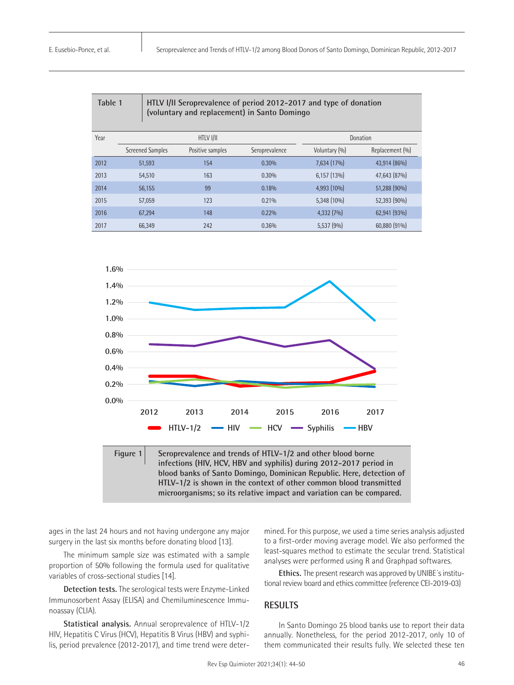| Table 1<br>HTLV I/II Seroprevalence of period 2012-2017 and type of donation<br>(voluntary and replacement) in Santo Domingo |                         |                  |                |               |                 |  |  |  |  |
|------------------------------------------------------------------------------------------------------------------------------|-------------------------|------------------|----------------|---------------|-----------------|--|--|--|--|
| Year                                                                                                                         |                         | HTLV I/II        | Donation       |               |                 |  |  |  |  |
|                                                                                                                              | <b>Screened Samples</b> | Positive samples | Seroprevalence | Voluntary (%) | Replacement (%) |  |  |  |  |
| 2012                                                                                                                         | 51,593                  | 154              | 0.30%          | 7,634 (17%)   | 43,914 (86%)    |  |  |  |  |
| 2013                                                                                                                         | 54.510                  | 163              | 0.30%          | $6,157(13\%)$ | 47.643 (87%)    |  |  |  |  |
| 2014                                                                                                                         | 56,155                  | 99               | 0.18%          | 4,993 (10%)   | 51,288 (90%)    |  |  |  |  |
| 2015                                                                                                                         | 57,059                  | 123              | 0.21%          | 5,348 (10%)   | 52,393 (90%)    |  |  |  |  |
| 2016                                                                                                                         | 67,294                  | 148              | 0.22%          | 4,332(7%)     | 62,941 (93%)    |  |  |  |  |
| 2017                                                                                                                         | 66.349                  | 242              | 0.36%          | 5,537(9%)     | 60,880 (91%)    |  |  |  |  |



ages in the last 24 hours and not having undergone any major surgery in the last six months before donating blood [13].

The minimum sample size was estimated with a sample proportion of 50% following the formula used for qualitative variables of cross-sectional studies [14].

**Detection tests.** The serological tests were Enzyme-Linked Immunosorbent Assay (ELISA) and Chemiluminescence Immunoassay (CLIA).

**Statistical analysis.** Annual seroprevalence of HTLV-1/2 HIV, Hepatitis C Virus (HCV), Hepatitis B Virus (HBV) and syphilis, period prevalence (2012-2017), and time trend were determined. For this purpose, we used a time series analysis adjusted to a first-order moving average model. We also performed the least-squares method to estimate the secular trend. Statistical analyses were performed using R and Graphpad softwares.

**Ethics.** The present research was approved by UNIBE´s institutional review board and ethics committee (reference CEI-2019-03)

#### **RESULTS**

In Santo Domingo 25 blood banks use to report their data annually. Nonetheless, for the period 2012-2017, only 10 of them communicated their results fully. We selected these ten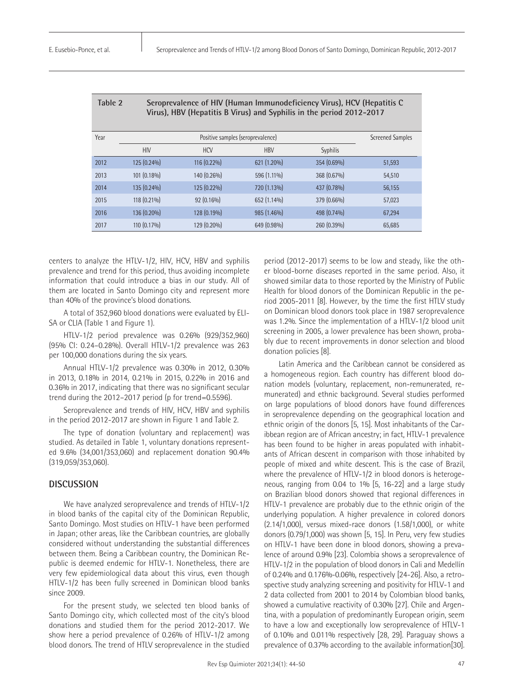| Table 2<br>Seroprevalence of HIV (Human Immunodeficiency Virus), HCV (Hepatitis C<br>Virus), HBV (Hepatitis B Virus) and Syphilis in the period 2012-2017 |             |                         |             |                 |        |  |  |  |  |
|-----------------------------------------------------------------------------------------------------------------------------------------------------------|-------------|-------------------------|-------------|-----------------|--------|--|--|--|--|
| Year                                                                                                                                                      |             | <b>Screened Samples</b> |             |                 |        |  |  |  |  |
|                                                                                                                                                           | <b>HIV</b>  | <b>HCV</b>              | <b>HBV</b>  | <b>Syphilis</b> |        |  |  |  |  |
| 2012                                                                                                                                                      | 125 (0.24%) | 116 (0.22%)             | 621 (1.20%) | 354 (0.69%)     | 51,593 |  |  |  |  |
| 2013                                                                                                                                                      | 101 (0.18%) | 140 (0.26%)             | 596 (1.11%) | 368 (0.67%)     | 54,510 |  |  |  |  |
| 2014                                                                                                                                                      | 135 (0.24%) | 125 (0.22%)             | 720 (1.13%) | 437 (0.78%)     | 56,155 |  |  |  |  |
| 2015                                                                                                                                                      | 118 (0.21%) | 92 (0.16%)              | 652 (1.14%) | 379 (0.66%)     | 57,023 |  |  |  |  |
| 2016                                                                                                                                                      | 136 (0.20%) | 128 (0.19%)             | 985 (1.46%) | 498 (0.74%)     | 67,294 |  |  |  |  |
| 2017                                                                                                                                                      | 110 (0.17%) | 129 (0.20%)             | 649 (0.98%) | 260 (0.39%)     | 65,685 |  |  |  |  |

**Table 2 Seroprevalence of HIV (Human Immunodeficiency Virus), HCV (Hepatitis C** 

centers to analyze the HTLV-1/2, HIV, HCV, HBV and syphilis prevalence and trend for this period, thus avoiding incomplete information that could introduce a bias in our study. All of them are located in Santo Domingo city and represent more than 40% of the province's blood donations.

A total of 352,960 blood donations were evaluated by ELI-SA or CLIA (Table 1 and Figure 1).

HTLV-1/2 period prevalence was 0.26% (929/352,960) (95% CI: 0.24–0.28%). Overall HTLV-1/2 prevalence was 263 per 100,000 donations during the six years.

Annual HTLV-1/2 prevalence was 0.30% in 2012, 0.30% in 2013, 0.18% in 2014, 0.21% in 2015, 0.22% in 2016 and 0.36% in 2017, indicating that there was no significant secular trend during the 2012–2017 period (p for trend=0.5596).

Seroprevalence and trends of HIV, HCV, HBV and syphilis in the period 2012-2017 are shown in Figure 1 and Table 2.

The type of donation (voluntary and replacement) was studied. As detailed in Table 1, voluntary donations represented 9.6% (34,001/353,060) and replacement donation 90.4% (319,059/353,060).

#### **DISCUSSION**

We have analyzed seroprevalence and trends of HTLV-1/2 in blood banks of the capital city of the Dominican Republic, Santo Domingo. Most studies on HTLV-1 have been performed in Japan; other areas, like the Caribbean countries, are globally considered without understanding the substantial differences between them. Being a Caribbean country, the Dominican Republic is deemed endemic for HTLV-1. Nonetheless, there are very few epidemiological data about this virus, even though HTLV-1/2 has been fully screened in Dominican blood banks since 2009.

For the present study, we selected ten blood banks of Santo Domingo city, which collected most of the city's blood donations and studied them for the period 2012-2017. We show here a period prevalence of 0.26% of HTLV-1/2 among blood donors. The trend of HTLV seroprevalence in the studied

period (2012-2017) seems to be low and steady, like the other blood-borne diseases reported in the same period. Also, it showed similar data to those reported by the Ministry of Public Health for blood donors of the Dominican Republic in the period 2005-2011 [8]. However, by the time the first HTLV study on Dominican blood donors took place in 1987 seroprevalence was 1.2%. Since the implementation of a HTLV-1/2 blood unit screening in 2005, a lower prevalence has been shown, probably due to recent improvements in donor selection and blood donation policies [8].

Latin America and the Caribbean cannot be considered as a homogeneous region. Each country has different blood donation models (voluntary, replacement, non-remunerated, remunerated) and ethnic background. Several studies performed on large populations of blood donors have found differences in seroprevalence depending on the geographical location and ethnic origin of the donors [5, 15]. Most inhabitants of the Caribbean region are of African ancestry; in fact, HTLV-1 prevalence has been found to be higher in areas populated with inhabitants of African descent in comparison with those inhabited by people of mixed and white descent. This is the case of Brazil, where the prevalence of HTLV-1/2 in blood donors is heterogeneous, ranging from 0.04 to 1% [5, 16-22] and a large study on Brazilian blood donors showed that regional differences in HTLV-1 prevalence are probably due to the ethnic origin of the underlying population. A higher prevalence in colored donors (2.14/1,000), versus mixed-race donors (1.58/1,000), or white donors (0.79/1,000) was shown [5, 15]. In Peru, very few studies on HTLV-1 have been done in blood donors, showing a prevalence of around 0.9% [23]. Colombia shows a seroprevalence of HTLV-1/2 in the population of blood donors in Cali and Medellín of 0.24% and 0.176%-0.06%, respectively [24-26]. Also, a retrospective study analyzing screening and positivity for HTLV-1 and 2 data collected from 2001 to 2014 by Colombian blood banks, showed a cumulative reactivity of 0.30% [27]. Chile and Argentina, with a population of predominantly European origin, seem to have a low and exceptionally low seroprevalence of HTLV-1 of 0.10% and 0.011% respectively [28, 29]. Paraguay shows a prevalence of 0.37% according to the available information[30].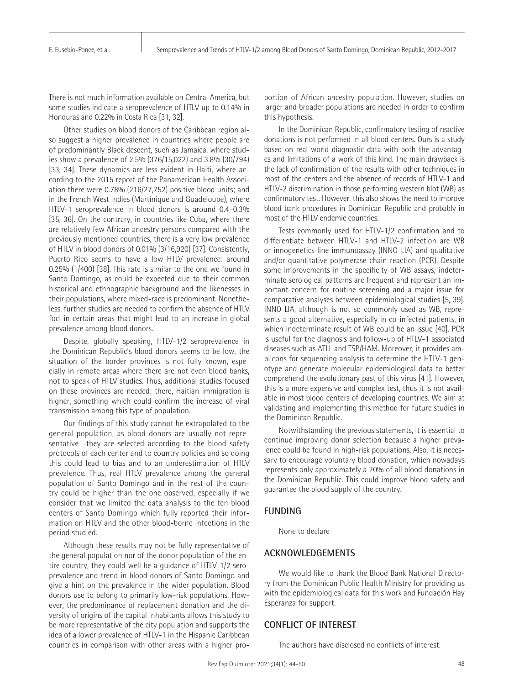There is not much information available on Central America, but some studies indicate a seroprevalence of HTLV up to 0.14% in Honduras and 0.22% in Costa Rica [31, 32].

Other studies on blood donors of the Caribbean region also suggest a higher prevalence in countries where people are of predominantly Black descent, such as Jamaica, where studies show a prevalence of 2.5% (376/15,022) and 3.8% (30/794) [33, 34]. These dynamics are less evident in Haiti, where according to the 2015 report of the Panamerican Health Association there were 0.78% (216/27,752) positive blood units; and in the French West Indies (Martinique and Guadeloupe), where HTLV-1 seroprevalence in blood donors is around 0.4–0.3% [35, 36]. On the contrary, in countries like Cuba, where there are relatively few African ancestry persons compared with the previously mentioned countries, there is a very low prevalence of HTLV in blood donors of 0.01% (3/16,920) [37]. Consistently, Puerto Rico seems to have a low HTLV prevalence: around 0.25% (1/400) [38]. This rate is similar to the one we found in Santo Domingo, as could be expected due to their common historical and ethnographic background and the likenesses in their populations, where mixed-race is predominant. Nonetheless, further studies are needed to confirm the absence of HTLV foci in certain areas that might lead to an increase in global prevalence among blood donors.

Despite, globally speaking, HTLV-1/2 seroprevalence in the Dominican Republic's blood donors seems to be low, the situation of the border provinces is not fully known, especially in remote areas where there are not even blood banks, not to speak of HTLV studies. Thus, additional studies focused on these provinces are needed; there, Haitian immigration is higher, something which could confirm the increase of viral transmission among this type of population.

Our findings of this study cannot be extrapolated to the general population, as blood donors are usually not representative –they are selected according to the blood safety protocols of each center and to country policies and so doing this could lead to bias and to an underestimation of HTLV prevalence. Thus, real HTLV prevalence among the general population of Santo Domingo and in the rest of the country could be higher than the one observed, especially if we consider that we limited the data analysis to the ten blood centers of Santo Domingo which fully reported their information on HTLV and the other blood-borne infections in the period studied.

Although these results may not be fully representative of the general population nor of the donor population of the entire country, they could well be a guidance of HTLV-1/2 seroprevalence and trend in blood donors of Santo Domingo and give a hint on the prevalence in the wider population. Blood donors use to belong to primarily low-risk populations. However, the predominance of replacement donation and the diversity of origins of the capital inhabitants allows this study to be more representative of the city population and supports the idea of a lower prevalence of HTLV-1 in the Hispanic Caribbean countries in comparison with other areas with a higher proportion of African ancestry population. However, studies on larger and broader populations are needed in order to confirm this hypothesis.

In the Dominican Republic, confirmatory testing of reactive donations is not performed in all blood centers. Ours is a study based on real-world diagnostic data with both the advantages and limitations of a work of this kind. The main drawback is the lack of confirmation of the results with other techniques in most of the centers and the absence of records of HTLV-1 and HTLV-2 discrimination in those performing western blot (WB) as confirmatory test. However, this also shows the need to improve blood bank procedures in Dominican Republic and probably in most of the HTLV endemic countries.

Tests commonly used for HTLV-1/2 confirmation and to differentiate between HTLV-1 and HTLV-2 infection are WB or innogenetics line immunoassay (INNO-LIA) and qualitative and/or quantitative polymerase chain reaction (PCR). Despite some improvements in the specificity of WB assays, indeterminate serological patterns are frequent and represent an important concern for routine screening and a major issue for comparative analyses between epidemiological studies [5, 39]. INNO LIA, although is not so commonly used as WB, represents a good alternative, especially in co-infected patients, in which indeterminate result of WB could be an issue [40]. PCR is useful for the diagnosis and follow-up of HTLV-1 associated diseases such as ATLL and TSP/HAM. Moreover, it provides amplicons for sequencing analysis to determine the HTLV-1 genotype and generate molecular epidemiological data to better comprehend the evolutionary past of this virus [41]. However, this is a more expensive and complex test, thus it is not available in most blood centers of developing countries. We aim at validating and implementing this method for future studies in the Dominican Republic.

Notwithstanding the previous statements, it is essential to continue improving donor selection because a higher prevalence could be found in high-risk populations. Also, it is necessary to encourage voluntary blood donation, which nowadays represents only approximately a 20% of all blood donations in the Dominican Republic. This could improve blood safety and guarantee the blood supply of the country.

## **FUNDING**

None to declare

# **ACKNOWLEDGEMENTS**

We would like to thank the Blood Bank National Directory from the Dominican Public Health Ministry for providing us with the epidemiological data for this work and Fundación Hay Esperanza for support.

## **CONFLICT OF INTEREST**

The authors have disclosed no conflicts of interest.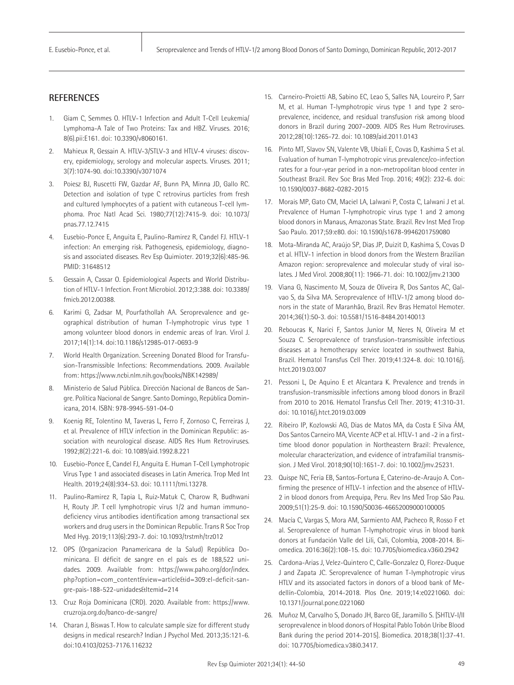# **REFERENCES**

- 1. Giam C, Semmes O. HTLV-1 Infection and Adult T-Cell Leukemia/ Lymphoma-A Tale of Two Proteins: Tax and HBZ. Viruses. 2016; 8(6).pii:E161. doi: 10.3390/v8060161.
- 2. Mahieux R, Gessain A. HTLV-3/STLV-3 and HTLV-4 viruses: discovery, epidemiology, serology and molecular aspects. Viruses. 2011; 3(7):1074-90. doi:10.3390/v3071074
- 3. Poiesz BJ, Ruscetti FW, Gazdar AF, Bunn PA, Minna JD, Gallo RC. Detection and isolation of type C retrovirus particles from fresh and cultured lymphocytes of a patient with cutaneous T-cell lymphoma. Proc Natl Acad Sci. 1980;77(12):7415-9. doi: 10.1073/ pnas.77.12.7415
- 4. Eusebio-Ponce E, Anguita E, Paulino-Ramirez R, Candel FJ. HTLV-1 infection: An emerging risk. Pathogenesis, epidemiology, diagnosis and associated diseases. Rev Esp Quimioter. 2019;32(6):485-96. PMID: 31648512
- 5. Gessain A, Cassar O. Epidemiological Aspects and World Distribution of HTLV-1 Infection. Front Microbiol. 2012;3:388. doi: 10.3389/ fmicb.2012.00388.
- 6. Karimi G, Zadsar M, Pourfathollah AA. Seroprevalence and geographical distribution of human T-lymphotropic virus type 1 among volunteer blood donors in endemic areas of Iran. Virol J. 2017;14(1):14. doi:10.1186/s12985-017-0693-9
- 7. World Health Organization. Screening Donated Blood for Transfusion-Transmissible Infections: Recommendations. 2009. Available from: <https://www.ncbi.nlm.nih.gov/books/NBK142989/>
- 8. Ministerio de Salud Pública. Dirección Nacional de Bancos de Sangre. Política Nacional de Sangre. Santo Domingo, República Dominicana, 2014. ISBN: 978-9945-591-04-0
- 9. Koenig RE, Tolentino M, Taveras L, Ferro F, Zornoso C, Ferreiras J, et al. Prevalence of HTLV infection in the Dominican Republic: association with neurological disease. AIDS Res Hum Retroviruses. 1992;8(2):221-6. doi: 10.1089/aid.1992.8.221
- 10. Eusebio-Ponce E, Candel FJ, Anguita E. Human T-Cell Lymphotropic Virus Type 1 and associated diseases in Latin America. Trop Med Int Health. 2019;24(8):934-53. doi: 10.1111/tmi.13278.
- 11. Paulino‐Ramirez R, Tapia L, Ruiz‐Matuk C, Charow R, Budhwani H, Routy JP. T cell lymphotropic virus 1/2 and human immunodeficiency virus antibodies identification among transactional sex workers and drug users in the Dominican Republic. Trans R Soc Trop Med Hyg. 2019;113(6):293-7. doi: 10.1093/trstmh/trz012
- 12. OPS (Organizacion Panamericana de la Salud) República Dominicana. El déficit de sangre en el país es de 188,522 unidades. 2009. Available from: https://www.paho.org/dor/index. php?option=com\_content&view=article&id=309:el-deficit-sangre-pais-188-522-unidades&Itemid=214
- 13. Cruz Roja Dominicana (CRD). 2020. Available from: [https://www.](https://www.cruzroja.org.do/banco-de-sangre/) [cruzroja.org.do/banco-de-sangre/](https://www.cruzroja.org.do/banco-de-sangre/)
- 14. Charan J, Biswas T. How to calculate sample size for different study designs in medical research? Indian J Psychol Med. 2013;35:121-6. doi:10.4103/0253-7176.116232
- 15. Carneiro-Proietti AB, Sabino EC, Leao S, Salles NA, Loureiro P, Sarr M, et al. Human T-lymphotropic virus type 1 and type 2 seroprevalence, incidence, and residual transfusion risk among blood donors in Brazil during 2007–2009. AIDS Res Hum Retroviruses. 2012;28(10):1265-72. doi: 10.1089/aid.2011.0143
- 16. Pinto MT, Slavov SN, Valente VB, Ubiali E, Covas D, Kashima S et al. Evaluation of human T-lymphotropic virus prevalence/co-infection rates for a four-year period in a non-metropolitan blood center in Southeast Brazil. Rev Soc Bras Med Trop. 2016; 49(2): 232-6. doi: 10.1590/0037-8682-0282-2015
- 17. Morais MP, Gato CM, Maciel LA, Lalwani P, Costa C, Lalwani J et al. Prevalence of Human T-lymphotropic virus type 1 and 2 among blood donors in Manaus, Amazonas State. Brazil. Rev Inst Med Trop Sao Paulo. 2017;59:e80. doi: 10.1590/s1678-9946201759080
- 18. Mota-Miranda AC, Araújo SP, Dias JP, Duizit D, Kashima S, Covas D et al. HTLV-1 infection in blood donors from the Western Brazilian Amazon region: seroprevalence and molecular study of viral isolates. J Med Virol. 2008;80(11): 1966-71. doi: 10.1002/jmv.21300
- 19. Viana G, Nascimento M, Souza de Oliveira R, Dos Santos AC, Galvao S, da Silva MA. Seroprevalence of HTLV-1/2 among blood donors in the state of Maranhão, Brazil. Rev Bras Hematol Hemoter. 2014;36(1):50-3. doi: 10.5581/1516-8484.20140013
- 20. Reboucas K, Narici F, Santos Junior M, Neres N, Oliveira M et Souza C. Seroprevalence of transfusion-transmissible infectious diseases at a hemotherapy service located in southwest Bahia, Brazil. Hematol Transfus Cell Ther. 2019;41:324-8. doi: 10.1016/j. htct.2019.03.007
- 21. Pessoni L, De Aquino E et Alcantara K. Prevalence and trends in transfusion-transmissible infections among blood donors in Brazil from 2010 to 2016. Hematol Transfus Cell Ther. 2019; 41:310-31. doi: 10.1016/j.htct.2019.03.009
- 22. Ribeiro IP, Kozlowski AG, Dias de Matos MA, da Costa E Silva ÁM, Dos Santos Carneiro MA, Vicente ACP et al. HTLV-1 and -2 in a firsttime blood donor population in Northeastern Brazil: Prevalence, molecular characterization, and evidence of intrafamilial transmission. J Med Virol. 2018;90(10):1651-7. doi: 10.1002/jmv.25231.
- 23. Quispe NC, Feria EB, Santos-Fortuna E, Caterino-de-Araujo A. Confirming the presence of HTLV-1 infection and the absence of HTLV-2 in blood donors from Arequipa, Peru. Rev Ins Med Trop São Pau. 2009;51(1):25-9. doi: 10.1590/S0036-46652009000100005
- 24. Macía C, Vargas S, Mora AM, Sarmiento AM, Pacheco R, Rosso F et al. Seroprevalence of human T-lymphotropic virus in blood bank donors at Fundación Valle del Lili, Cali, Colombia, 2008-2014. Biomedica. 2016:36(2):108-15. doi: 10.7705/biomedica.v36i0.2942
- 25. Cardona-Arias J, Velez-Quintero C, Calle-Gonzalez O, Florez-Duque J and Zapata JC. Seroprevalence of human T-lymphotropic virus HTLV and its associated factors in donors of a blood bank of Medellín-Colombia, 2014-2018. Plos One. 2019;14:e0221060. doi: 10.1371/journal.pone.0221060
- 26. Muñoz M, Carvalho S, Donado JH, Barco GE, Jaramillo S. [SHTLV-I/II seroprevalence in blood donors of Hospital Pablo Tobón Uribe Blood Bank during the period 2014-2015]. Biomedica. 2018;38(1):37-41. doi: 10.7705/biomedica.v38i0.3417.